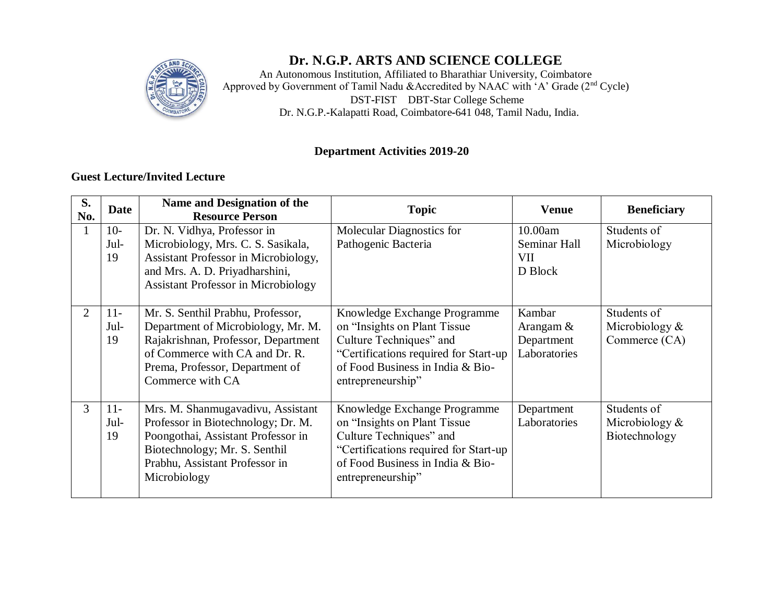

## **Dr. N.G.P. ARTS AND SCIENCE COLLEGE**

An Autonomous Institution, Affiliated to Bharathiar University, Coimbatore Approved by Government of Tamil Nadu &Accredited by NAAC with 'A' Grade (2<sup>nd</sup> Cycle) DST**-**FIST DBT**-**Star College Scheme Dr. N.G.P.**-**Kalapatti Road, Coimbatore**-**641 048, Tamil Nadu, India.

#### **Department Activities 2019-20**

#### **Guest Lecture/Invited Lecture**

| S.<br>No.      | <b>Date</b>         | Name and Designation of the<br><b>Resource Person</b>                                                                                                                                                   | <b>Topic</b>                                                                                                                                                                               | <b>Venue</b>                                         | <b>Beneficiary</b>                               |  |
|----------------|---------------------|---------------------------------------------------------------------------------------------------------------------------------------------------------------------------------------------------------|--------------------------------------------------------------------------------------------------------------------------------------------------------------------------------------------|------------------------------------------------------|--------------------------------------------------|--|
| 1              | $10-$<br>Jul-<br>19 | Dr. N. Vidhya, Professor in<br>Microbiology, Mrs. C. S. Sasikala,<br>Assistant Professor in Microbiology,<br>and Mrs. A. D. Priyadharshini,<br><b>Assistant Professor in Microbiology</b>               | Molecular Diagnostics for<br>Pathogenic Bacteria                                                                                                                                           | 10.00am<br>Seminar Hall<br><b>VII</b><br>D Block     | Students of<br>Microbiology                      |  |
| $\overline{2}$ | $11-$<br>Jul-<br>19 | Mr. S. Senthil Prabhu, Professor,<br>Department of Microbiology, Mr. M.<br>Rajakrishnan, Professor, Department<br>of Commerce with CA and Dr. R.<br>Prema, Professor, Department of<br>Commerce with CA | Knowledge Exchange Programme<br>on "Insights on Plant Tissue<br>Culture Techniques" and<br>"Certifications required for Start-up<br>of Food Business in India & Bio-<br>entrepreneurship"  | Kambar<br>Arangam $\&$<br>Department<br>Laboratories | Students of<br>Microbiology $&$<br>Commerce (CA) |  |
| 3              | $11-$<br>Jul-<br>19 | Mrs. M. Shanmugavadivu, Assistant<br>Professor in Biotechnology; Dr. M.<br>Poongothai, Assistant Professor in<br>Biotechnology; Mr. S. Senthil<br>Prabhu, Assistant Professor in<br>Microbiology        | Knowledge Exchange Programme<br>on "Insights on Plant Tissue"<br>Culture Techniques" and<br>"Certifications required for Start-up<br>of Food Business in India & Bio-<br>entrepreneurship" | Department<br>Laboratories                           | Students of<br>Microbiology $&$<br>Biotechnology |  |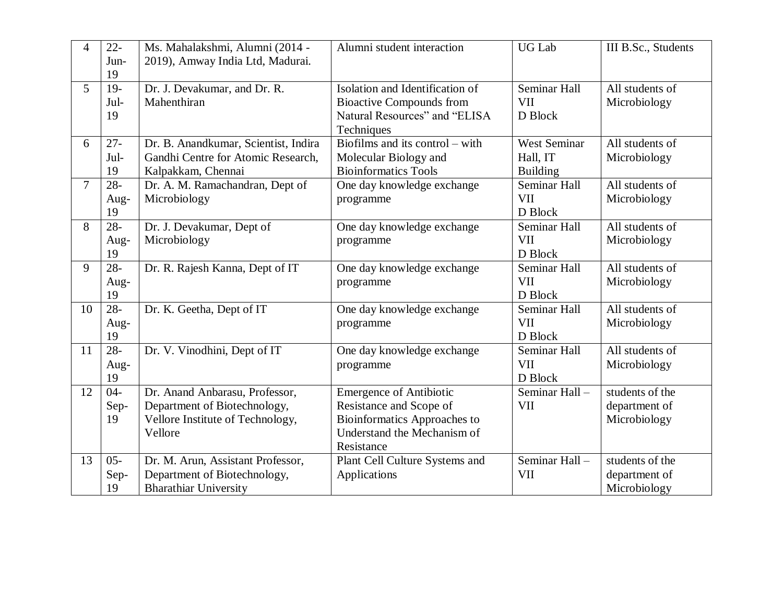| $\overline{4}$ | $22 -$<br>Jun-<br>19 | Ms. Mahalakshmi, Alumni (2014 -<br>2019), Amway India Ltd, Madurai.                                           | Alumni student interaction                                                                                                             | <b>UG Lab</b>                                      | III B.Sc., Students                              |
|----------------|----------------------|---------------------------------------------------------------------------------------------------------------|----------------------------------------------------------------------------------------------------------------------------------------|----------------------------------------------------|--------------------------------------------------|
| 5 <sup>5</sup> | $19-$<br>Jul-<br>19  | Dr. J. Devakumar, and Dr. R.<br>Mahenthiran                                                                   | Isolation and Identification of<br><b>Bioactive Compounds from</b><br>Natural Resources" and "ELISA<br>Techniques                      | Seminar Hall<br><b>VII</b><br>D Block              | All students of<br>Microbiology                  |
| 6              | $27 -$<br>Jul-<br>19 | Dr. B. Anandkumar, Scientist, Indira<br>Gandhi Centre for Atomic Research,<br>Kalpakkam, Chennai              | Biofilms and its control $-$ with<br>Molecular Biology and<br><b>Bioinformatics Tools</b>                                              | <b>West Seminar</b><br>Hall, IT<br><b>Building</b> | All students of<br>Microbiology                  |
| $\overline{7}$ | $28 -$<br>Aug-<br>19 | Dr. A. M. Ramachandran, Dept of<br>Microbiology                                                               | One day knowledge exchange<br>programme                                                                                                | Seminar Hall<br><b>VII</b><br>D Block              | All students of<br>Microbiology                  |
| 8              | $28 -$<br>Aug-<br>19 | Dr. J. Devakumar, Dept of<br>Microbiology                                                                     | One day knowledge exchange<br>programme                                                                                                | Seminar Hall<br><b>VII</b><br>D Block              | All students of<br>Microbiology                  |
| 9              | $28 -$<br>Aug-<br>19 | Dr. R. Rajesh Kanna, Dept of IT                                                                               | One day knowledge exchange<br>programme                                                                                                | Seminar Hall<br><b>VII</b><br>D Block              | All students of<br>Microbiology                  |
| 10             | $28 -$<br>Aug-<br>19 | Dr. K. Geetha, Dept of IT                                                                                     | One day knowledge exchange<br>programme                                                                                                | Seminar Hall<br><b>VII</b><br>D Block              | All students of<br>Microbiology                  |
| 11             | $28 -$<br>Aug-<br>19 | Dr. V. Vinodhini, Dept of IT                                                                                  | One day knowledge exchange<br>programme                                                                                                | Seminar Hall<br><b>VII</b><br>D Block              | All students of<br>Microbiology                  |
| 12             | $04 -$<br>Sep-<br>19 | Dr. Anand Anbarasu, Professor,<br>Department of Biotechnology,<br>Vellore Institute of Technology,<br>Vellore | <b>Emergence of Antibiotic</b><br>Resistance and Scope of<br>Bioinformatics Approaches to<br>Understand the Mechanism of<br>Resistance | Seminar Hall-<br><b>VII</b>                        | students of the<br>department of<br>Microbiology |
| 13             | $05 -$<br>Sep-<br>19 | Dr. M. Arun, Assistant Professor,<br>Department of Biotechnology,<br><b>Bharathiar University</b>             | Plant Cell Culture Systems and<br>Applications                                                                                         | $\overline{\text{Seminar Hall}}$ -<br><b>VII</b>   | students of the<br>department of<br>Microbiology |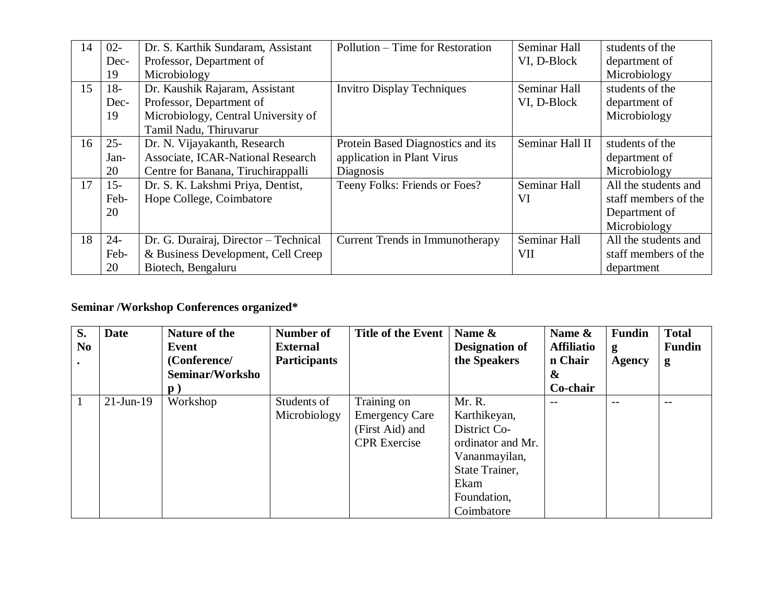| 14 | $02 -$ | Dr. S. Karthik Sundaram, Assistant    | Pollution – Time for Restoration  | Seminar Hall    | students of the      |
|----|--------|---------------------------------------|-----------------------------------|-----------------|----------------------|
|    | Dec-   | Professor, Department of              |                                   | VI, D-Block     | department of        |
|    | 19     | Microbiology                          |                                   |                 | Microbiology         |
| 15 | $18-$  | Dr. Kaushik Rajaram, Assistant        | <b>Invitro Display Techniques</b> | Seminar Hall    | students of the      |
|    | Dec-   | Professor, Department of              |                                   | VI, D-Block     | department of        |
|    | 19     | Microbiology, Central University of   |                                   |                 | Microbiology         |
|    |        | Tamil Nadu, Thiruvarur                |                                   |                 |                      |
| 16 | $25 -$ | Dr. N. Vijayakanth, Research          | Protein Based Diagnostics and its | Seminar Hall II | students of the      |
|    | Jan-   | Associate, ICAR-National Research     | application in Plant Virus        |                 | department of        |
|    | 20     | Centre for Banana, Tiruchirappalli    | Diagnosis                         |                 | Microbiology         |
| 17 | $15 -$ | Dr. S. K. Lakshmi Priya, Dentist,     | Teeny Folks: Friends or Foes?     | Seminar Hall    | All the students and |
|    | Feb-   | Hope College, Coimbatore              |                                   | VI              | staff members of the |
|    | 20     |                                       |                                   |                 | Department of        |
|    |        |                                       |                                   |                 | Microbiology         |
| 18 | $24 -$ | Dr. G. Durairaj, Director - Technical | Current Trends in Immunotherapy   | Seminar Hall    | All the students and |
|    | Feb-   | & Business Development, Cell Creep    |                                   | <b>VII</b>      | staff members of the |
|    | 20     | Biotech, Bengaluru                    |                                   |                 | department           |

# **Seminar /Workshop Conferences organized\***

| S.<br>No | <b>Date</b>  | Nature of the<br>Event | <b>Number of</b><br><b>External</b> | Title of the Event    | Name &<br><b>Designation of</b> | Name &<br><b>Affiliatio</b> | <b>Fundin</b><br>g | <b>Total</b><br><b>Fundin</b> |
|----------|--------------|------------------------|-------------------------------------|-----------------------|---------------------------------|-----------------------------|--------------------|-------------------------------|
|          |              | (Conference/           | <b>Participants</b>                 |                       | the Speakers                    | n Chair                     | <b>Agency</b>      | g                             |
|          |              | Seminar/Worksho        |                                     |                       |                                 | $\boldsymbol{\&}$           |                    |                               |
|          |              | $\mathbf{p}$ )         |                                     |                       |                                 | Co-chair                    |                    |                               |
|          | $21$ -Jun-19 | Workshop               | Students of                         | Training on           | Mr. R.                          |                             |                    |                               |
|          |              |                        | Microbiology                        | <b>Emergency Care</b> | Karthikeyan,                    |                             |                    |                               |
|          |              |                        |                                     | (First Aid) and       | District Co-                    |                             |                    |                               |
|          |              |                        |                                     | <b>CPR</b> Exercise   | ordinator and Mr.               |                             |                    |                               |
|          |              |                        |                                     |                       | Vananmayilan,                   |                             |                    |                               |
|          |              |                        |                                     |                       | State Trainer,                  |                             |                    |                               |
|          |              |                        |                                     |                       | Ekam                            |                             |                    |                               |
|          |              |                        |                                     |                       | Foundation,                     |                             |                    |                               |
|          |              |                        |                                     |                       | Coimbatore                      |                             |                    |                               |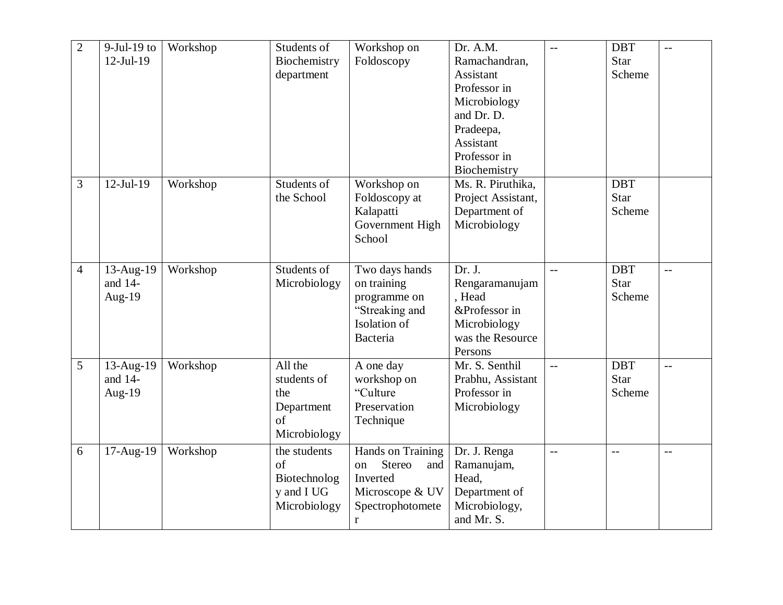| $\overline{2}$ | $9$ -Jul-19 to<br>$12$ -Jul-19 | Workshop | Students of<br>Biochemistry<br>department                                | Workshop on<br>Foldoscopy                                                                                   | Dr. A.M.<br>Ramachandran,<br>Assistant<br>Professor in<br>Microbiology<br>and Dr. D.<br>Pradeepa,<br>Assistant<br>Professor in<br>Biochemistry | $\qquad \qquad -$ | <b>DBT</b><br><b>Star</b><br>Scheme | $- -$                    |
|----------------|--------------------------------|----------|--------------------------------------------------------------------------|-------------------------------------------------------------------------------------------------------------|------------------------------------------------------------------------------------------------------------------------------------------------|-------------------|-------------------------------------|--------------------------|
| $\mathfrak{Z}$ | $12$ -Jul-19                   | Workshop | Students of<br>the School                                                | Workshop on<br>Foldoscopy at<br>Kalapatti<br>Government High<br>School                                      | Ms. R. Piruthika,<br>Project Assistant,<br>Department of<br>Microbiology                                                                       |                   | <b>DBT</b><br><b>Star</b><br>Scheme |                          |
| $\overline{4}$ | 13-Aug-19<br>and 14-<br>Aug-19 | Workshop | Students of<br>Microbiology                                              | Two days hands<br>on training<br>programme on<br>"Streaking and<br>Isolation of<br>Bacteria                 | Dr. J.<br>Rengaramanujam<br>, Head<br>&Professor in<br>Microbiology<br>was the Resource<br>Persons                                             | $-$               | <b>DBT</b><br><b>Star</b><br>Scheme | $\overline{\phantom{m}}$ |
| 5              | 13-Aug-19<br>and 14-<br>Aug-19 | Workshop | All the<br>students of<br>the<br>Department<br>of<br>Microbiology        | A one day<br>workshop on<br>"Culture"<br>Preservation<br>Technique                                          | Mr. S. Senthil<br>Prabhu, Assistant<br>Professor in<br>Microbiology                                                                            | $\overline{a}$    | <b>DBT</b><br><b>Star</b><br>Scheme | $-$                      |
| 6              | 17-Aug-19                      | Workshop | the students<br>$\sigma$ f<br>Biotechnolog<br>y and I UG<br>Microbiology | Hands on Training<br>Stereo<br>on<br>and<br>Inverted<br>Microscope & UV<br>Spectrophotomete<br>$\mathbf{r}$ | Dr. J. Renga<br>Ramanujam,<br>Head,<br>Department of<br>Microbiology,<br>and Mr. S.                                                            | $-$               | $-$                                 | $-$                      |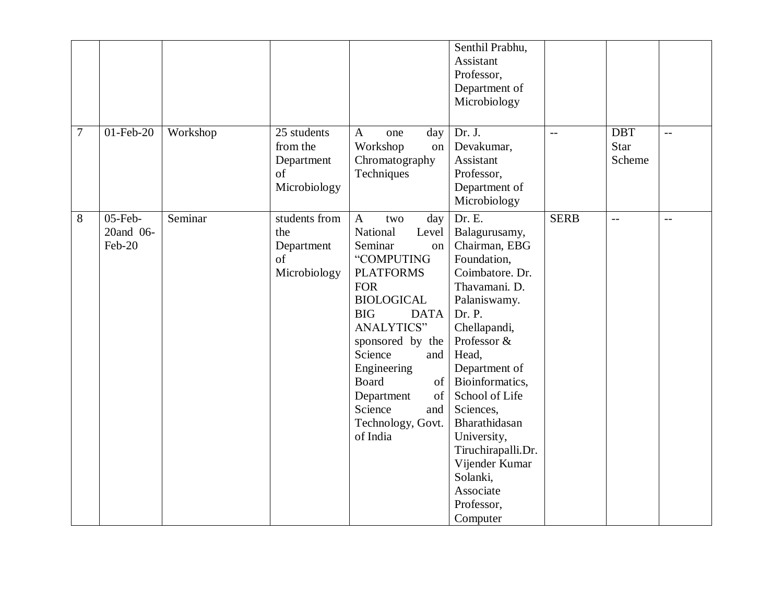| 7 | 01-Feb-20                         | Workshop | 25 students<br>from the<br>Department<br>of<br>Microbiology | $\mathbf{A}$<br>day<br>one<br>Workshop<br>on<br>Chromatography<br>Techniques                                                                                                                                                                                                                                                       | Senthil Prabhu,<br>Assistant<br>Professor,<br>Department of<br>Microbiology<br>Dr. J.<br>Devakumar,<br>Assistant<br>Professor,<br>Department of<br>Microbiology                                                                                                                                                                                             | $-$         | <b>DBT</b><br><b>Star</b><br>Scheme | $- -$ |
|---|-----------------------------------|----------|-------------------------------------------------------------|------------------------------------------------------------------------------------------------------------------------------------------------------------------------------------------------------------------------------------------------------------------------------------------------------------------------------------|-------------------------------------------------------------------------------------------------------------------------------------------------------------------------------------------------------------------------------------------------------------------------------------------------------------------------------------------------------------|-------------|-------------------------------------|-------|
| 8 | $05$ -Feb-<br>20and 06-<br>Feb-20 | Seminar  | students from<br>the<br>Department<br>of<br>Microbiology    | $\mathbf{A}$<br>day<br>two<br>National<br>Level<br>Seminar<br>on<br>"COMPUTING<br><b>PLATFORMS</b><br><b>FOR</b><br><b>BIOLOGICAL</b><br><b>BIG</b><br><b>DATA</b><br><b>ANALYTICS"</b><br>sponsored by the<br>Science<br>and<br>Engineering<br>Board<br>of<br>of<br>Department<br>Science<br>and<br>Technology, Govt.<br>of India | Dr. E.<br>Balagurusamy,<br>Chairman, EBG<br>Foundation,<br>Coimbatore. Dr.<br>Thavamani. D.<br>Palaniswamy.<br>Dr. P.<br>Chellapandi,<br>Professor &<br>Head,<br>Department of<br>Bioinformatics,<br>School of Life<br>Sciences,<br>Bharathidasan<br>University,<br>Tiruchirapalli.Dr.<br>Vijender Kumar<br>Solanki,<br>Associate<br>Professor,<br>Computer | <b>SERB</b> | $-$                                 | $-$   |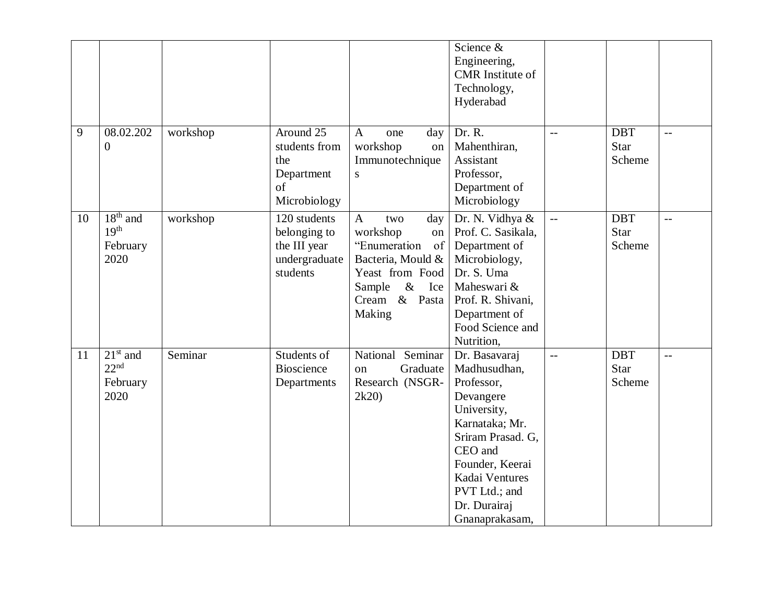| 9  | 08.02.202<br>$\overline{0}$                        | workshop | Around 25<br>students from<br>the<br>Department<br>of<br>Microbiology     | $\mathbf{A}$<br>day<br>one<br>workshop<br>on<br>Immunotechnique<br>${\bf S}$                                                                                   | Science &<br>Engineering,<br><b>CMR</b> Institute of<br>Technology,<br>Hyderabad<br>Dr. R.<br>Mahenthiran,<br>Assistant<br>Professor,<br>Department of<br>Microbiology                                            | $-$ | <b>DBT</b><br><b>Star</b><br>Scheme | $-$ |
|----|----------------------------------------------------|----------|---------------------------------------------------------------------------|----------------------------------------------------------------------------------------------------------------------------------------------------------------|-------------------------------------------------------------------------------------------------------------------------------------------------------------------------------------------------------------------|-----|-------------------------------------|-----|
| 10 | $18th$ and<br>19 <sup>th</sup><br>February<br>2020 | workshop | 120 students<br>belonging to<br>the III year<br>undergraduate<br>students | $\mathbf{A}$<br>two<br>day<br>workshop<br>on<br>"Enumeration<br>of<br>Bacteria, Mould &<br>Yeast from Food<br>$\&$<br>Sample<br>Ice<br>Cream & Pasta<br>Making | Dr. N. Vidhya &<br>Prof. C. Sasikala,<br>Department of<br>Microbiology,<br>Dr. S. Uma<br>Maheswari &<br>Prof. R. Shivani,<br>Department of<br>Food Science and<br>Nutrition,                                      | $-$ | <b>DBT</b><br><b>Star</b><br>Scheme | $-$ |
| 11 | $21st$ and<br>22 <sup>nd</sup><br>February<br>2020 | Seminar  | Students of<br><b>Bioscience</b><br>Departments                           | National Seminar<br>Graduate<br>on<br>Research (NSGR-<br>2k20                                                                                                  | Dr. Basavaraj<br>Madhusudhan,<br>Professor,<br>Devangere<br>University,<br>Karnataka; Mr.<br>Sriram Prasad. G,<br>CEO and<br>Founder, Keerai<br>Kadai Ventures<br>PVT Ltd.; and<br>Dr. Durairaj<br>Gnanaprakasam, | $-$ | <b>DBT</b><br><b>Star</b><br>Scheme | $-$ |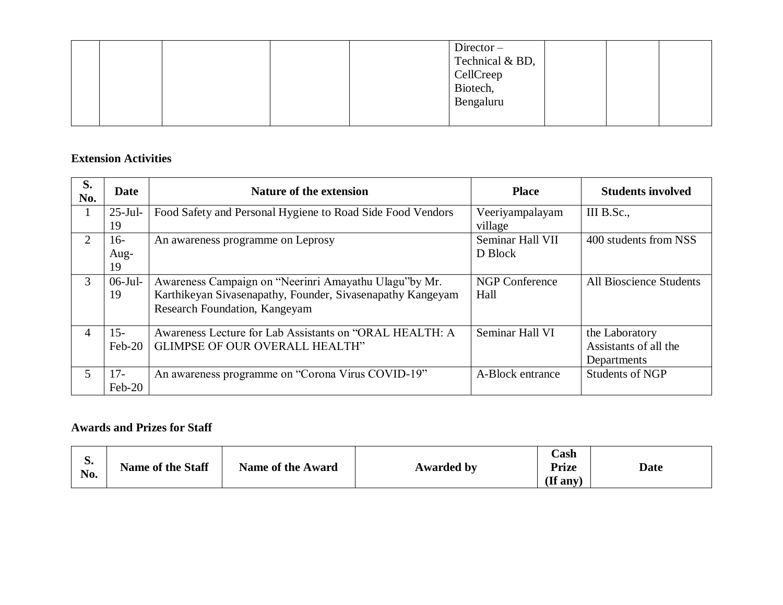|  |  | $Director -$<br>Technical & BD,<br>CellCreep<br>Biotech,<br>Bengaluru |  |  |
|--|--|-----------------------------------------------------------------------|--|--|
|  |  |                                                                       |  |  |

### **Extension Activities**

| S.<br>No.      | Date       | Nature of the extension                                    | <b>Place</b>          | <b>Students involved</b>       |
|----------------|------------|------------------------------------------------------------|-----------------------|--------------------------------|
| 1              | $25$ -Jul- | Food Safety and Personal Hygiene to Road Side Food Vendors | Veeriyampalayam       | III B.Sc.,                     |
|                | 19         |                                                            | village               |                                |
| $\overline{2}$ | $16-$      | An awareness programme on Leprosy                          | Seminar Hall VII      | 400 students from NSS          |
|                | Aug-       |                                                            | D Block               |                                |
|                | 19         |                                                            |                       |                                |
| 3              | $06$ -Jul- | Awareness Campaign on "Neerinri Amayathu Ulagu"by Mr.      | <b>NGP Conference</b> | <b>All Bioscience Students</b> |
|                | 19         | Karthikeyan Sivasenapathy, Founder, Sivasenapathy Kangeyam | Hall                  |                                |
|                |            | Research Foundation, Kangeyam                              |                       |                                |
| 4              | $15 -$     | Awareness Lecture for Lab Assistants on "ORAL HEALTH: A    | Seminar Hall VI       | the Laboratory                 |
|                | $Feb-20$   | <b>GLIMPSE OF OUR OVERALL HEALTH"</b>                      |                       | Assistants of all the          |
|                |            |                                                            |                       | Departments                    |
| 5.             | $17-$      | An awareness programme on "Corona Virus COVID-19"          | A-Block entrance      | <b>Students of NGP</b>         |
|                | $Feb-20$   |                                                            |                       |                                |

### **Awards and Prizes for Staff**

| p.<br>No. | <b>Name of the Staff</b> | <b>Name of the Award</b> | <b>Awarded by</b> | $\cosh$<br><b>Prize</b><br>$($ If any $)$ | <b>Date</b> |
|-----------|--------------------------|--------------------------|-------------------|-------------------------------------------|-------------|
|-----------|--------------------------|--------------------------|-------------------|-------------------------------------------|-------------|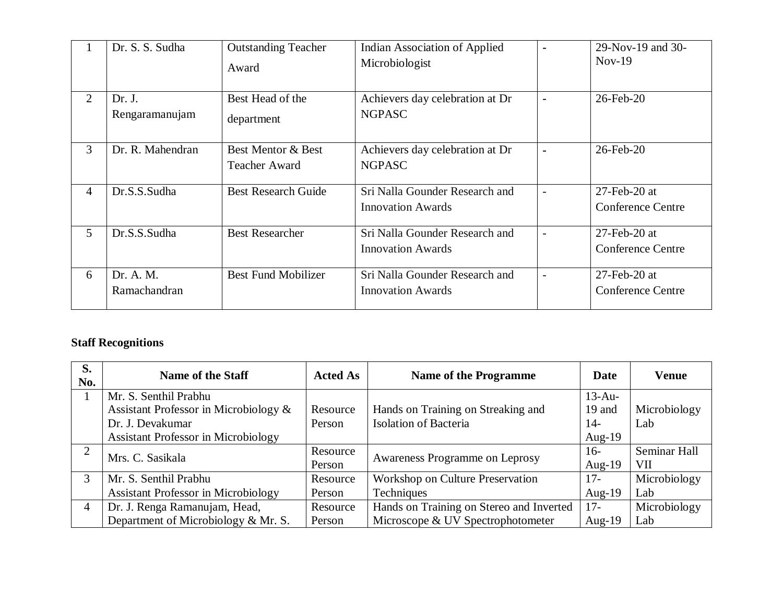|                | Dr. S. S. Sudha           | <b>Outstanding Teacher</b><br>Award        | <b>Indian Association of Applied</b><br>Microbiologist     |                          | 29-Nov-19 and 30-<br>$Nov-19$               |
|----------------|---------------------------|--------------------------------------------|------------------------------------------------------------|--------------------------|---------------------------------------------|
| $\overline{2}$ | Dr. J.<br>Rengaramanujam  | Best Head of the<br>department             | Achievers day celebration at Dr<br><b>NGPASC</b>           | $\blacksquare$           | 26-Feb-20                                   |
| 3              | Dr. R. Mahendran          | Best Mentor & Best<br><b>Teacher Award</b> | Achievers day celebration at Dr<br><b>NGPASC</b>           | $\blacksquare$           | $26$ -Feb- $20$                             |
| $\overline{4}$ | Dr.S.S.Sudha              | <b>Best Research Guide</b>                 | Sri Nalla Gounder Research and<br><b>Innovation Awards</b> | $\overline{\phantom{0}}$ | $27$ -Feb-20 at<br><b>Conference Centre</b> |
| 5              | Dr.S.S.Sudha              | <b>Best Researcher</b>                     | Sri Nalla Gounder Research and<br><b>Innovation Awards</b> | $\overline{\phantom{0}}$ | $27$ -Feb-20 at<br><b>Conference Centre</b> |
| 6              | Dr. A. M.<br>Ramachandran | <b>Best Fund Mobilizer</b>                 | Sri Nalla Gounder Research and<br><b>Innovation Awards</b> |                          | $27$ -Feb-20 at<br><b>Conference Centre</b> |

## **Staff Recognitions**

| S.<br>No.      | Name of the Staff                          | <b>Acted As</b> | <b>Name of the Programme</b>             | Date      | <b>Venue</b> |
|----------------|--------------------------------------------|-----------------|------------------------------------------|-----------|--------------|
|                | Mr. S. Senthil Prabhu                      |                 |                                          | $13-Au-$  |              |
|                | Assistant Professor in Microbiology &      | Resource        | Hands on Training on Streaking and       | 19 and    | Microbiology |
|                | Dr. J. Devakumar                           | Person          | <b>Isolation of Bacteria</b>             | $14-$     | Lab          |
|                | <b>Assistant Professor in Microbiology</b> |                 |                                          | Aug- $19$ |              |
| $\overline{2}$ | Mrs. C. Sasikala                           | Resource        | Awareness Programme on Leprosy           | $16-$     | Seminar Hall |
|                |                                            | Person          |                                          | Aug- $19$ | VII          |
| 3              | Mr. S. Senthil Prabhu                      | Resource        | Workshop on Culture Preservation         | $17-$     | Microbiology |
|                | <b>Assistant Professor in Microbiology</b> | Person          | <b>Techniques</b>                        | Aug- $19$ | Lab          |
| $\overline{4}$ | Dr. J. Renga Ramanujam, Head,              | Resource        | Hands on Training on Stereo and Inverted | $17-$     | Microbiology |
|                | Department of Microbiology & Mr. S.        | Person          | Microscope & UV Spectrophotometer        | Aug- $19$ | Lab          |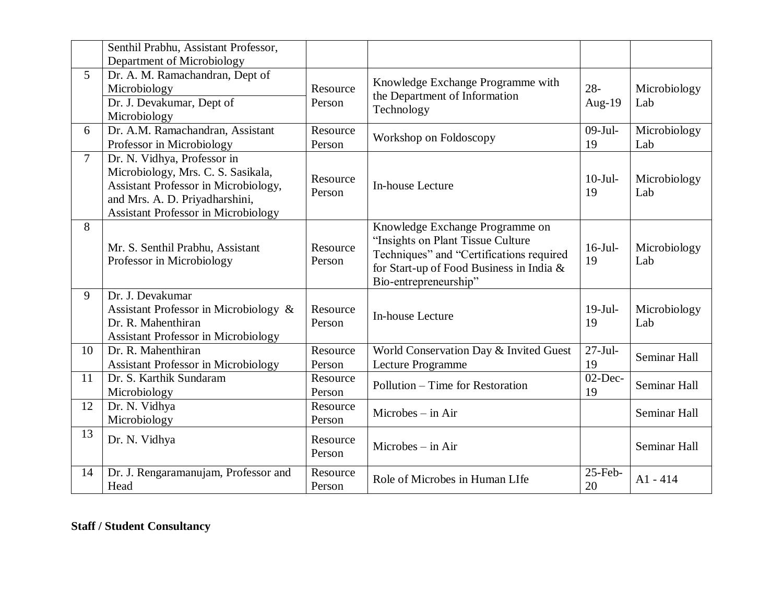|        | Senthil Prabhu, Assistant Professor,                                                                                                                                                      |                    |                                                                                                                                                                                       |                     |                     |
|--------|-------------------------------------------------------------------------------------------------------------------------------------------------------------------------------------------|--------------------|---------------------------------------------------------------------------------------------------------------------------------------------------------------------------------------|---------------------|---------------------|
|        | Department of Microbiology                                                                                                                                                                |                    |                                                                                                                                                                                       |                     |                     |
| 5      | Dr. A. M. Ramachandran, Dept of<br>Microbiology<br>Dr. J. Devakumar, Dept of<br>Microbiology                                                                                              | Resource<br>Person | Knowledge Exchange Programme with<br>the Department of Information<br>Technology                                                                                                      | $28 -$<br>Aug- $19$ | Microbiology<br>Lab |
| 6      | Dr. A.M. Ramachandran, Assistant<br>Professor in Microbiology                                                                                                                             | Resource<br>Person | Workshop on Foldoscopy                                                                                                                                                                | $09-Jul-$<br>19     | Microbiology<br>Lab |
| $\tau$ | Dr. N. Vidhya, Professor in<br>Microbiology, Mrs. C. S. Sasikala,<br>Assistant Professor in Microbiology,<br>and Mrs. A. D. Priyadharshini,<br><b>Assistant Professor in Microbiology</b> | Resource<br>Person | In-house Lecture                                                                                                                                                                      | $10-Jul-$<br>19     | Microbiology<br>Lab |
| 8      | Mr. S. Senthil Prabhu, Assistant<br>Professor in Microbiology                                                                                                                             | Resource<br>Person | Knowledge Exchange Programme on<br>"Insights on Plant Tissue Culture<br>Techniques" and "Certifications required<br>for Start-up of Food Business in India &<br>Bio-entrepreneurship" | $16$ -Jul-<br>19    | Microbiology<br>Lab |
| 9      | Dr. J. Devakumar<br>Assistant Professor in Microbiology &<br>Dr. R. Mahenthiran<br><b>Assistant Professor in Microbiology</b>                                                             | Resource<br>Person | In-house Lecture                                                                                                                                                                      | $19-Jul-$<br>19     | Microbiology<br>Lab |
| 10     | Dr. R. Mahenthiran<br><b>Assistant Professor in Microbiology</b>                                                                                                                          | Resource<br>Person | World Conservation Day & Invited Guest<br>Lecture Programme                                                                                                                           | $27-Jul-$<br>19     | Seminar Hall        |
| 11     | Dr. S. Karthik Sundaram<br>Microbiology                                                                                                                                                   | Resource<br>Person | Pollution – Time for Restoration                                                                                                                                                      | $02$ -Dec-<br>19    | Seminar Hall        |
| 12     | Dr. N. Vidhya<br>Microbiology                                                                                                                                                             | Resource<br>Person | $Microbes - in Air$                                                                                                                                                                   |                     | Seminar Hall        |
| 13     | Dr. N. Vidhya                                                                                                                                                                             | Resource<br>Person | $Microbes - in Air$                                                                                                                                                                   |                     | Seminar Hall        |
| 14     | Dr. J. Rengaramanujam, Professor and<br>Head                                                                                                                                              | Resource<br>Person | Role of Microbes in Human LIfe                                                                                                                                                        | 25-Feb-<br>20       | $A1 - 414$          |

## **Staff / Student Consultancy**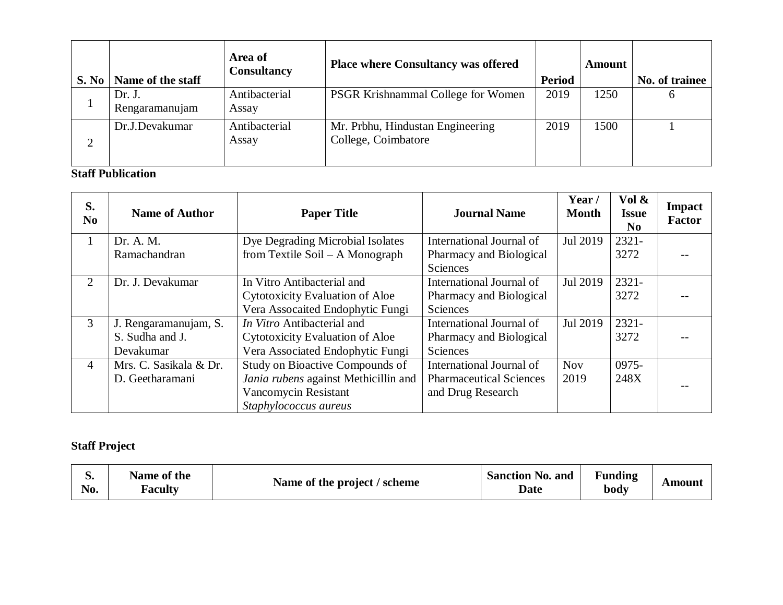| S. No  | Name of the staff        | Area of<br><b>Consultancy</b> | <b>Place where Consultancy was offered</b>              | <b>Period</b> | Amount | No. of trainee |
|--------|--------------------------|-------------------------------|---------------------------------------------------------|---------------|--------|----------------|
|        | Dr. J.<br>Rengaramanujam | Antibacterial<br>Assay        | <b>PSGR Krishnammal College for Women</b>               | 2019          | 1250   | h              |
| ◠<br>∠ | Dr.J.Devakumar           | Antibacterial<br>Assay        | Mr. Prbhu, Hindustan Engineering<br>College, Coimbatore | 2019          | 1500   |                |

### **Staff Publication**

| S.<br>No. | <b>Name of Author</b>  | <b>Paper Title</b>                     | <b>Journal Name</b>            | Year/<br><b>Month</b> | Vol &<br><b>Issue</b><br>N <sub>0</sub> | <b>Impact</b><br><b>Factor</b> |
|-----------|------------------------|----------------------------------------|--------------------------------|-----------------------|-----------------------------------------|--------------------------------|
|           | Dr. A. M.              | Dye Degrading Microbial Isolates       | International Journal of       | Jul 2019              | $2321 -$                                |                                |
|           | Ramachandran           | from Textile Soil $- A$ Monograph      | Pharmacy and Biological        |                       | 3272                                    |                                |
|           |                        |                                        | Sciences                       |                       |                                         |                                |
| 2         | Dr. J. Devakumar       | In Vitro Antibacterial and             | International Journal of       | Jul 2019              | $2321 -$                                |                                |
|           |                        | <b>Cytotoxicity Evaluation of Aloe</b> | Pharmacy and Biological        |                       | 3272                                    |                                |
|           |                        | Vera Assocaited Endophytic Fungi       | Sciences                       |                       |                                         |                                |
| 3         | J. Rengaramanujam, S.  | In Vitro Antibacterial and             | International Journal of       | Jul 2019              | $2321 -$                                |                                |
|           | S. Sudha and J.        | <b>Cytotoxicity Evaluation of Aloe</b> | Pharmacy and Biological        |                       | 3272                                    |                                |
|           | Devakumar              | Vera Associated Endophytic Fungi       | Sciences                       |                       |                                         |                                |
| 4         | Mrs. C. Sasikala & Dr. | Study on Bioactive Compounds of        | International Journal of       | <b>Nov</b>            | 0975-                                   |                                |
|           | D. Geetharamani        | Jania rubens against Methicillin and   | <b>Pharmaceutical Sciences</b> | 2019                  | 248X                                    |                                |
|           |                        | Vancomycin Resistant                   | and Drug Research              |                       |                                         |                                |
|           |                        | Staphylococcus aureus                  |                                |                       |                                         |                                |

# **Staff Project**

| p.<br>N0. | Name of the<br><b>Faculty</b> | Name of the project / scheme | <b>Sanction No. and</b><br><b>Date</b> | <b>Funding</b><br>body | Amount |
|-----------|-------------------------------|------------------------------|----------------------------------------|------------------------|--------|
|-----------|-------------------------------|------------------------------|----------------------------------------|------------------------|--------|